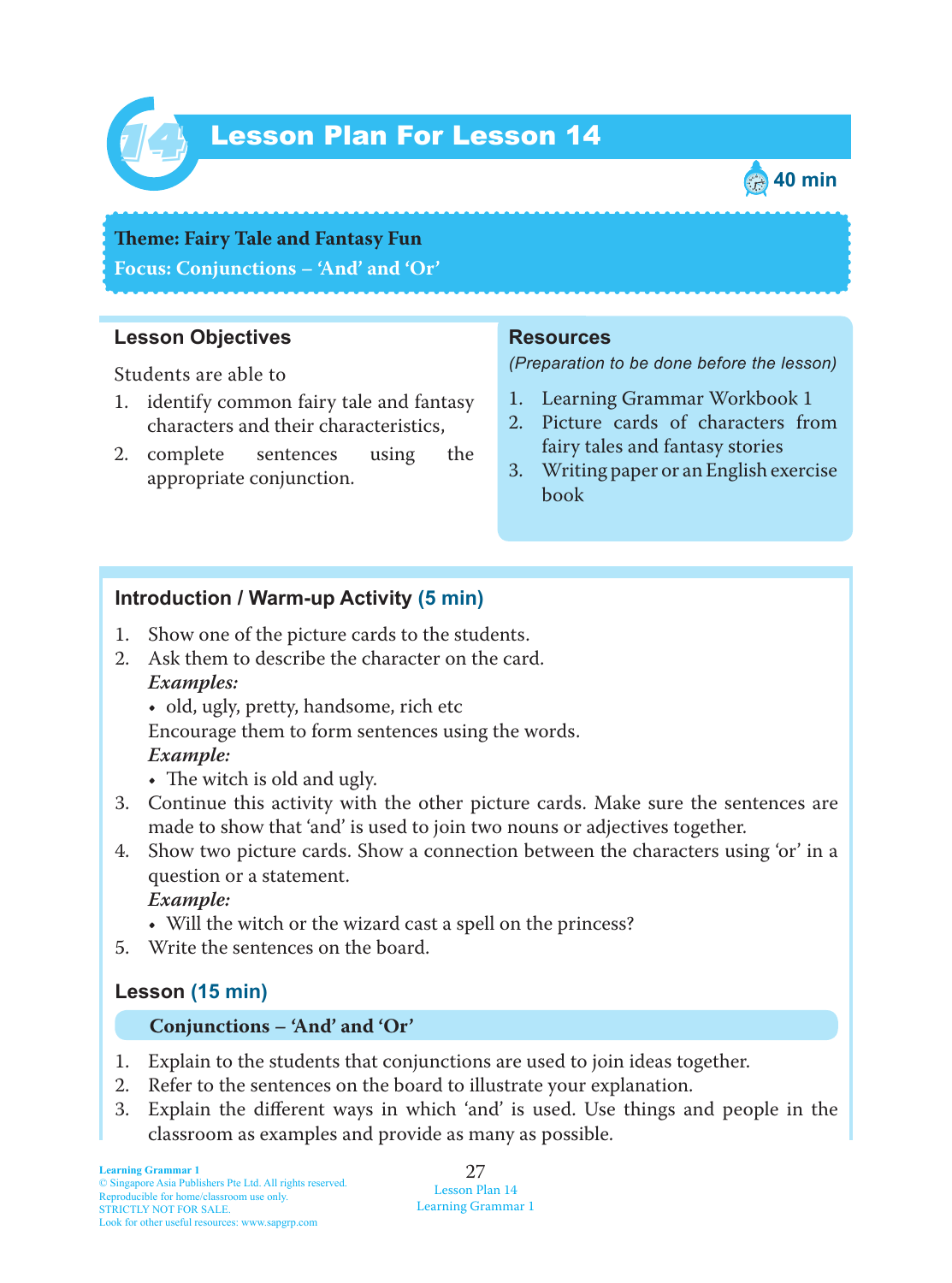

# Lesson Plan For Lesson 14 *14*



**Teme : Fairy Tale and Fantasy Fun Focus: Conjunctions – 'And' and 'Or'**

### **Lesson Objectives**

Students are able to

- 1. identify common fairy tale and fantasy characters and their characteristics,
- 2. complete sentences using the appropriate conjunction.

#### **Resources**

*(Preparation to be done before the lesson)*

- 1. Learning Grammar Workbook 1
- 2. Picture cards of characters from fairy tales and fantasy stories
- 3. Writing paper or an English exercise book

## **Introduction / Warm-up Activity (5 min)**

- 1. Show one of the picture cards to the students.
- 2. Ask them to describe the character on the card.  *Examples:*
	- old, ugly, pretty, handsome, rich etc
	- Encourage them to form sentences using the words.

#### *Example:*

- The witch is old and ugly.
- 3. Continue this activity with the other picture cards. Make sure the sentences are made to show that 'and' is used to join two nouns or adjectives together.
- 4. Show two picture cards. Show a connection between the characters using 'or' in a question or a statement.

 *Example:*

- Will the witch or the wizard cast a spell on the princess?
- 5. Write the sentences on the board.

# **Lesson (15 min)**

#### **Conjunctions – 'And' and 'Or'**

- 1. Explain to the students that conjunctions are used to join ideas together.
- 2. Refer to the sentences on the board to illustrate your explanation.
- 3. Explain the different ways in which 'and' is used. Use things and people in the classroom as examples and provide as many as possible.

27 Lesson Plan 14 Learning Grammar 1